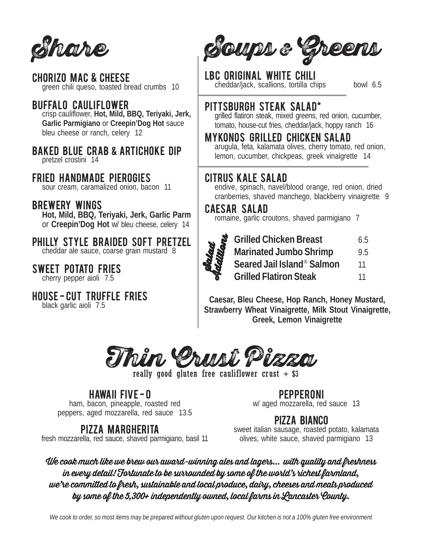Share

chorizo mac & cheese green chili queso, toasted bread crumbs 10

## **BUFFALO CAULIFLOWER**

crisp cauliflower, **Hot, Mild, BBQ, Teriyaki, Jerk, Garlic Parmigiano** or **Creepin'Dog Hot** sauce bleu cheese or ranch, celery 12

### **BAKED BLUE CRAB & ARTICHOKE DIP** pretzel crostini 14

## fried handmade pierogiES

sour cream, caramalized onion, bacon 11

## **BREWERY WINGS**

**Hot, Mild, BBQ, Teriyaki, Jerk, Garlic Parm** or **Creepin'Dog Hot** w/ bleu cheese, celery 14

# PHILLY STYLE BRAIDED SOFT PRETZEL

cheddar ale sauce, coarse grain mustard 8

#### SWEET POTATO FRIES cherry pepper aioli 7.5

## HOUSE-CUT TRUFFLE FRIES

black garlic aioli 7.5



LBC original white chili cheddar/jack, scallions, tortilla chips bowl 6.5

## PITTSBURGH STEAK SALAD\*

grilled flatiron steak, mixed greens, red onion, cucumber, tomato, house-cut fries, cheddar/jack, hoppy ranch 16

## MYKONOS GRILLED CHICKEN SALAD

arugula, feta, kalamata olives, cherry tomato, red onion, lemon, cucumber, chickpeas, greek vinaigrette 14

## citrus kale salad

endive, spinach, navel/blood orange, red onion, dried cranberries, shaved manchego, blackberry vinaigrette 9

## Caesar salad

romaine, garlic croutons, shaved parmigiano 7



Grilled Chicken Breast 6.5<br>Marinated Jumbo Shrimp 9.5<br>Seared Jail Island® Salmon 11<br>Grilled Flatiron Steak 11 **Marinated Jumbo Shrimp** 9.5 **Seared Jail Island**® **Salmon** 11 **Grilled Flatiron Steak** 11

**Caesar, Bleu Cheese, Hop Ranch, Honey Mustard, Strawberry Wheat Vinaigrette, Milk Stout Vinaigrette, Greek, Lemon Vinaigrette**



really good gluten free cauliflower crust  $+$  \$3

# HAWAII FIVE-0

ham, bacon, pineapple, roasted red peppers, aged mozzarella, red sauce 13.5

## pizza margherita

fresh mozzarella, red sauce, shaved parmigiano, basil 11

pepperoni w/ aged mozzarella, red sauce 13

## pizza bianco

sweet italian sausage, roasted potato, kalamata olives, white sauce, shaved parmigiano 13

We cook much like we brew our award-winning ales and lagers... with quality and freshness in every detail! Fortunate to be surrounded by some of the world's richest farmland, we're committed to fresh, sustainable and local produce, dairy, cheeses and meats produced by some of the 5,300+ independently owned, local farms in Lancaster County.